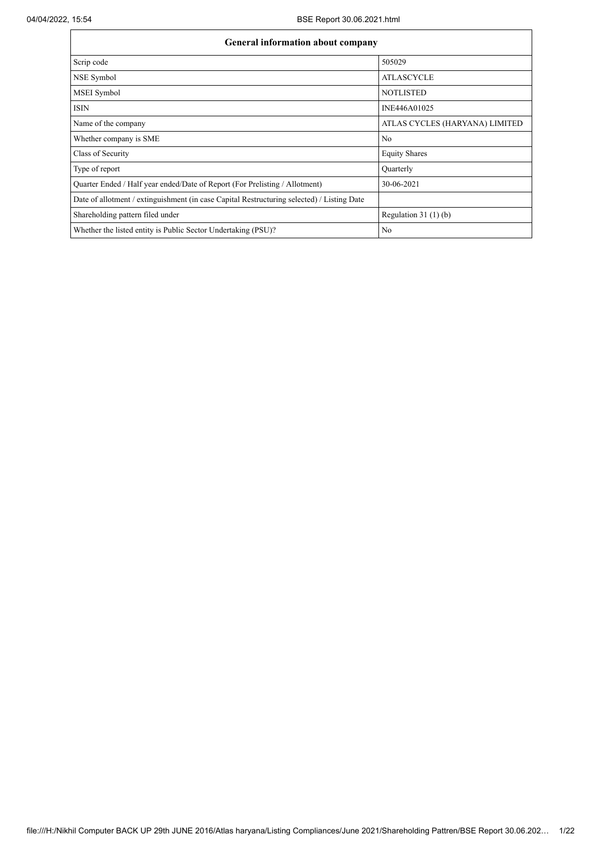| General information about company                                                          |                                |  |  |  |  |  |  |  |
|--------------------------------------------------------------------------------------------|--------------------------------|--|--|--|--|--|--|--|
| Scrip code                                                                                 | 505029                         |  |  |  |  |  |  |  |
| NSE Symbol                                                                                 | <b>ATLASCYCLE</b>              |  |  |  |  |  |  |  |
| MSEI Symbol                                                                                | <b>NOTLISTED</b>               |  |  |  |  |  |  |  |
| <b>ISIN</b>                                                                                | INE446A01025                   |  |  |  |  |  |  |  |
| Name of the company                                                                        | ATLAS CYCLES (HARYANA) LIMITED |  |  |  |  |  |  |  |
| Whether company is SME                                                                     | No                             |  |  |  |  |  |  |  |
| Class of Security                                                                          | <b>Equity Shares</b>           |  |  |  |  |  |  |  |
| Type of report                                                                             | Quarterly                      |  |  |  |  |  |  |  |
| Quarter Ended / Half year ended/Date of Report (For Prelisting / Allotment)                | 30-06-2021                     |  |  |  |  |  |  |  |
| Date of allotment / extinguishment (in case Capital Restructuring selected) / Listing Date |                                |  |  |  |  |  |  |  |
| Shareholding pattern filed under                                                           | Regulation $31(1)(b)$          |  |  |  |  |  |  |  |
| Whether the listed entity is Public Sector Undertaking (PSU)?                              | N <sub>0</sub>                 |  |  |  |  |  |  |  |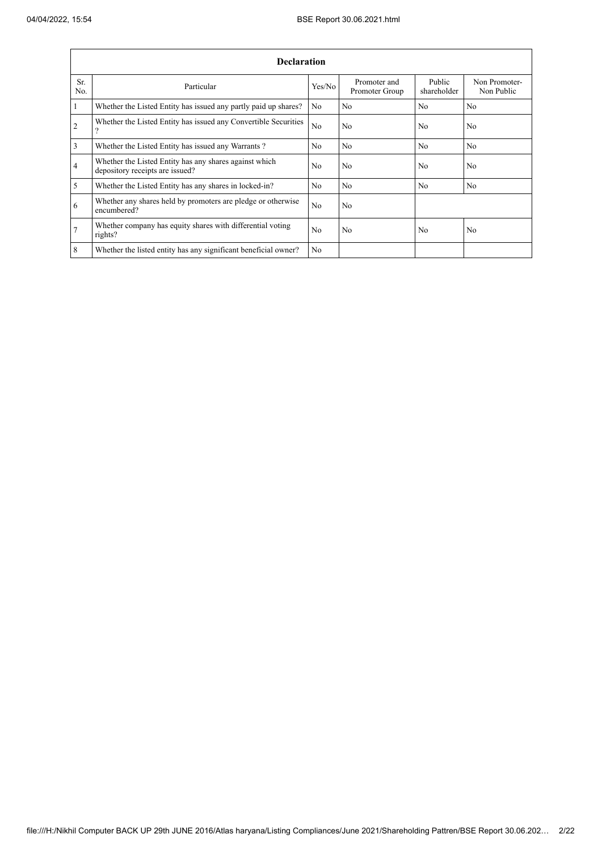÷

| <b>Declaration</b> |                                                                                           |                |                                |                       |                             |  |  |  |  |  |  |  |
|--------------------|-------------------------------------------------------------------------------------------|----------------|--------------------------------|-----------------------|-----------------------------|--|--|--|--|--|--|--|
| Sr.<br>No.         | Particular                                                                                | Yes/No         | Promoter and<br>Promoter Group | Public<br>shareholder | Non Promoter-<br>Non Public |  |  |  |  |  |  |  |
| $\mathbf{1}$       | Whether the Listed Entity has issued any partly paid up shares?                           | No.            | N <sub>0</sub>                 | N <sub>0</sub>        | N <sub>0</sub>              |  |  |  |  |  |  |  |
| $\overline{2}$     | Whether the Listed Entity has issued any Convertible Securities<br>9                      | N <sub>o</sub> | No                             | No                    | N <sub>o</sub>              |  |  |  |  |  |  |  |
| $\overline{3}$     | Whether the Listed Entity has issued any Warrants?                                        | N <sub>0</sub> | No                             | No                    | N <sub>0</sub>              |  |  |  |  |  |  |  |
| $\overline{4}$     | Whether the Listed Entity has any shares against which<br>depository receipts are issued? | N <sub>o</sub> | No                             | No                    | N <sub>o</sub>              |  |  |  |  |  |  |  |
| 5                  | Whether the Listed Entity has any shares in locked-in?                                    | N <sub>0</sub> | No                             | N <sub>0</sub>        | N <sub>0</sub>              |  |  |  |  |  |  |  |
| 6                  | Whether any shares held by promoters are pledge or otherwise<br>encumbered?               | No             | N <sub>o</sub>                 |                       |                             |  |  |  |  |  |  |  |
| $\overline{7}$     | Whether company has equity shares with differential voting<br>rights?                     | No.            | No                             | No                    | N <sub>o</sub>              |  |  |  |  |  |  |  |
| 8                  | Whether the listed entity has any significant beneficial owner?                           | No             |                                |                       |                             |  |  |  |  |  |  |  |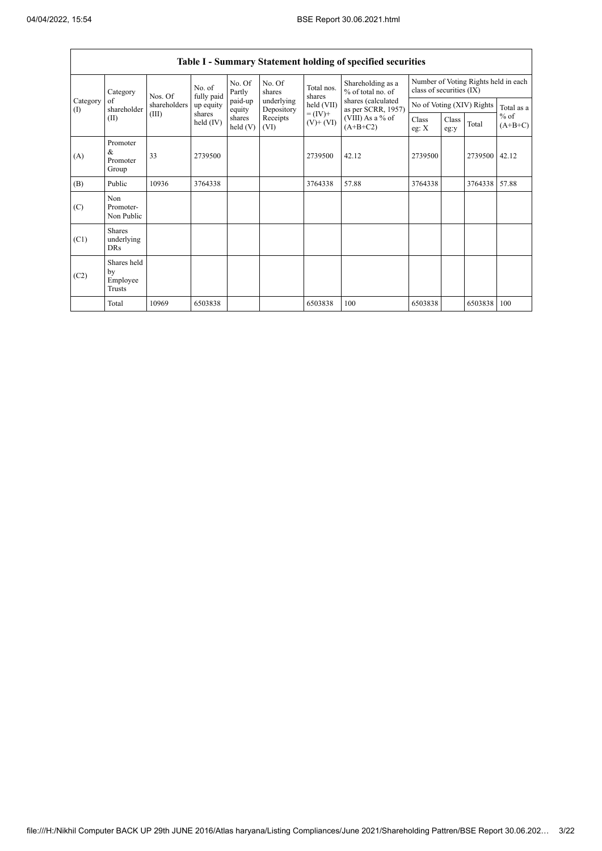$\Gamma$ 

|                   |                                           |              |                       |                      |                          |                                      | Table I - Summary Statement holding of specified securities |                |                                                                  |                           |                     |  |
|-------------------|-------------------------------------------|--------------|-----------------------|----------------------|--------------------------|--------------------------------------|-------------------------------------------------------------|----------------|------------------------------------------------------------------|---------------------------|---------------------|--|
|                   | Category                                  | Nos. Of      | No. of<br>fully paid  | No. Of<br>Partly     | No. Of<br>shares         | Total nos.<br>shares<br>$held$ (VII) | Shareholding as a<br>% of total no. of                      |                | Number of Voting Rights held in each<br>class of securities (IX) |                           |                     |  |
| Category<br>$($ I | of<br>shareholder                         | shareholders | up equity             | paid-up<br>equity    | underlying<br>Depository |                                      | shares (calculated<br>as per SCRR, 1957)                    |                |                                                                  | No of Voting (XIV) Rights | Total as a          |  |
|                   | (II)                                      | (III)        | shares<br>held $(IV)$ | shares<br>held $(V)$ | Receipts<br>(VI)         | $= (IV) +$<br>$(V)$ + $(VI)$         | (VIII) As a % of<br>$(A+B+C2)$                              | Class<br>eg: X | Class<br>eg:y                                                    | Total                     | $%$ of<br>$(A+B+C)$ |  |
| (A)               | Promoter<br>&<br>Promoter<br>Group        | 33           | 2739500               |                      |                          | 2739500                              | 42.12                                                       | 2739500        |                                                                  | 2739500                   | 42.12               |  |
| (B)               | Public                                    | 10936        | 3764338               |                      |                          | 3764338                              | 57.88                                                       | 3764338        |                                                                  | 3764338                   | 57.88               |  |
| (C)               | Non<br>Promoter-<br>Non Public            |              |                       |                      |                          |                                      |                                                             |                |                                                                  |                           |                     |  |
| (C1)              | <b>Shares</b><br>underlying<br><b>DRs</b> |              |                       |                      |                          |                                      |                                                             |                |                                                                  |                           |                     |  |
| (C2)              | Shares held<br>by<br>Employee<br>Trusts   |              |                       |                      |                          |                                      |                                                             |                |                                                                  |                           |                     |  |
|                   | Total                                     | 10969        | 6503838               |                      |                          | 6503838                              | 100                                                         | 6503838        |                                                                  | 6503838                   | 100                 |  |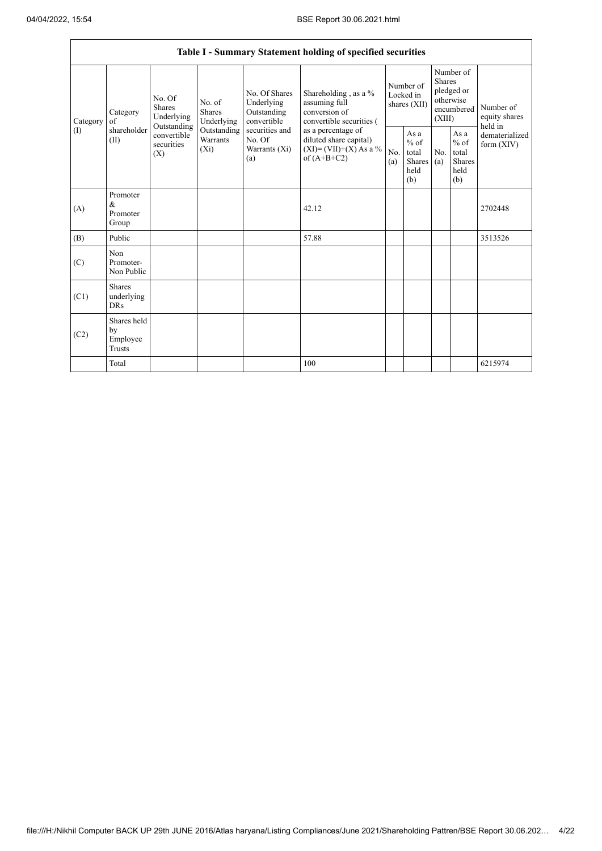|                 |                                                |                                                                |                                       |                                                                                                                  | Table I - Summary Statement holding of specified securities                                |                                        |                                                  |                                                                               |                                                         |                                       |
|-----------------|------------------------------------------------|----------------------------------------------------------------|---------------------------------------|------------------------------------------------------------------------------------------------------------------|--------------------------------------------------------------------------------------------|----------------------------------------|--------------------------------------------------|-------------------------------------------------------------------------------|---------------------------------------------------------|---------------------------------------|
| Category<br>(I) | Category<br>of<br>shareholder<br>(II)          | No. Of<br>Shares<br>Underlying<br>Outstanding                  | No. of<br><b>Shares</b><br>Underlying | No. Of Shares<br>Underlying<br>Outstanding<br>convertible<br>securities and<br>No. Of<br>Warrants $(X_i)$<br>(a) | Shareholding, as a %<br>assuming full<br>conversion of<br>convertible securities (         | Number of<br>Locked in<br>shares (XII) |                                                  | Number of<br><b>Shares</b><br>pledged or<br>otherwise<br>encumbered<br>(XIII) |                                                         | Number of<br>equity shares<br>held in |
|                 |                                                | convertible<br><b>Warrants</b><br>securities<br>$(X_i)$<br>(X) | Outstanding                           |                                                                                                                  | as a percentage of<br>diluted share capital)<br>$(XI) = (VII)+(X) As a %$<br>of $(A+B+C2)$ | No.<br>(a)                             | As a<br>$%$ of<br>total<br>Shares<br>held<br>(b) | N <sub>0</sub><br>(a)                                                         | As a<br>$%$ of<br>total<br><b>Shares</b><br>held<br>(b) | dematerialized<br>form $(XIV)$        |
| (A)             | Promoter<br>$\&$<br>Promoter<br>Group          |                                                                |                                       |                                                                                                                  | 42.12                                                                                      |                                        |                                                  |                                                                               |                                                         | 2702448                               |
| (B)             | Public                                         |                                                                |                                       |                                                                                                                  | 57.88                                                                                      |                                        |                                                  |                                                                               |                                                         | 3513526                               |
| (C)             | Non<br>Promoter-<br>Non Public                 |                                                                |                                       |                                                                                                                  |                                                                                            |                                        |                                                  |                                                                               |                                                         |                                       |
| (C1)            | <b>Shares</b><br>underlying<br><b>DRs</b>      |                                                                |                                       |                                                                                                                  |                                                                                            |                                        |                                                  |                                                                               |                                                         |                                       |
| (C2)            | Shares held<br>by<br>Employee<br><b>Trusts</b> |                                                                |                                       |                                                                                                                  |                                                                                            |                                        |                                                  |                                                                               |                                                         |                                       |
|                 | Total                                          |                                                                |                                       |                                                                                                                  | 100                                                                                        |                                        |                                                  |                                                                               |                                                         | 6215974                               |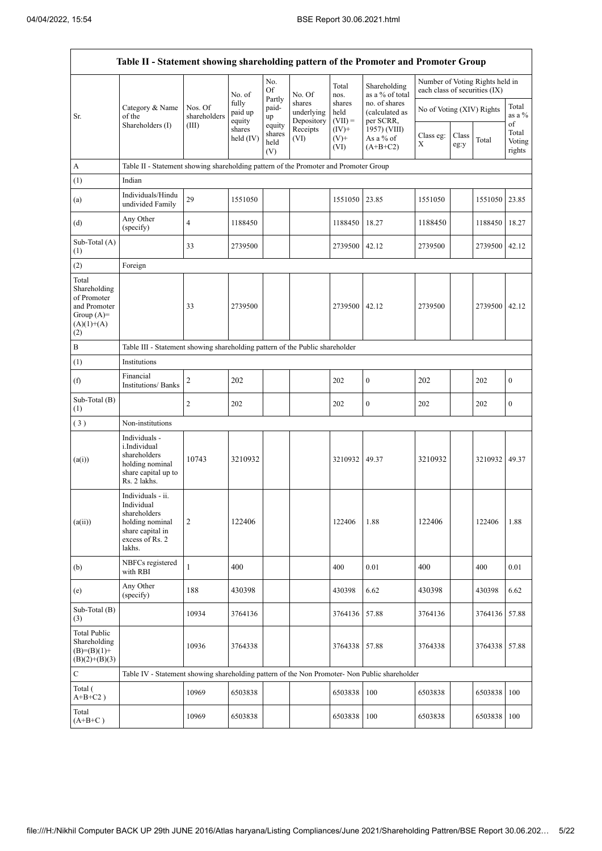|                                                                                             | Table II - Statement showing shareholding pattern of the Promoter and Promoter Group                                |                         |                            |                                 |                                    |                             |                                              |                                                                  |               |               |                                 |  |
|---------------------------------------------------------------------------------------------|---------------------------------------------------------------------------------------------------------------------|-------------------------|----------------------------|---------------------------------|------------------------------------|-----------------------------|----------------------------------------------|------------------------------------------------------------------|---------------|---------------|---------------------------------|--|
|                                                                                             |                                                                                                                     |                         | No. of                     | No.<br>Of                       | No. Of                             | Total<br>nos.               | Shareholding<br>as a % of total              | Number of Voting Rights held in<br>each class of securities (IX) |               |               |                                 |  |
| Sr.                                                                                         | Category & Name<br>of the                                                                                           | Nos. Of<br>shareholders | fully<br>paid up<br>equity | Partly<br>paid-<br>up           | shares<br>underlying<br>Depository | shares<br>held<br>$(VII) =$ | no. of shares<br>(calculated as<br>per SCRR, | No of Voting (XIV) Rights                                        |               |               | Total<br>as a %                 |  |
|                                                                                             | Shareholders (I)                                                                                                    | (III)                   | shares<br>held $(IV)$      | equity<br>shares<br>held<br>(V) | Receipts<br>(VI)                   | $(IV)+$<br>$(V)$ +<br>(VI)  | 1957) (VIII)<br>As a % of<br>$(A+B+C2)$      | Class eg:<br>X                                                   | Class<br>eg:y | Total         | of<br>Total<br>Voting<br>rights |  |
| A                                                                                           | Table II - Statement showing shareholding pattern of the Promoter and Promoter Group                                |                         |                            |                                 |                                    |                             |                                              |                                                                  |               |               |                                 |  |
| (1)                                                                                         | Indian                                                                                                              |                         |                            |                                 |                                    |                             |                                              |                                                                  |               |               |                                 |  |
| (a)                                                                                         | Individuals/Hindu<br>undivided Family                                                                               | 29                      | 1551050                    |                                 |                                    | 1551050                     | 23.85                                        | 1551050                                                          |               | 1551050       | 23.85                           |  |
| (d)                                                                                         | Any Other<br>(specify)                                                                                              | 4                       | 1188450                    |                                 |                                    | 1188450                     | 18.27                                        | 1188450                                                          |               | 1188450 18.27 |                                 |  |
| Sub-Total (A)<br>(1)                                                                        |                                                                                                                     | 33                      | 2739500                    |                                 |                                    | 2739500                     | 42.12                                        | 2739500                                                          |               | 2739500 42.12 |                                 |  |
| (2)                                                                                         | Foreign                                                                                                             |                         |                            |                                 |                                    |                             |                                              |                                                                  |               |               |                                 |  |
| Total<br>Shareholding<br>of Promoter<br>and Promoter<br>Group $(A)=$<br>$(A)(1)+(A)$<br>(2) |                                                                                                                     | 33                      | 2739500                    |                                 |                                    | 2739500                     | 42.12                                        | 2739500                                                          |               | 2739500 42.12 |                                 |  |
| $\, {\bf B}$                                                                                | Table III - Statement showing shareholding pattern of the Public shareholder                                        |                         |                            |                                 |                                    |                             |                                              |                                                                  |               |               |                                 |  |
| (1)                                                                                         | Institutions                                                                                                        |                         |                            |                                 |                                    |                             |                                              |                                                                  |               |               |                                 |  |
| (f)                                                                                         | Financial<br><b>Institutions/ Banks</b>                                                                             | 2                       | 202                        |                                 |                                    | 202                         | $\boldsymbol{0}$                             | 202                                                              |               | 202           | $\boldsymbol{0}$                |  |
| Sub-Total (B)<br>(1)                                                                        |                                                                                                                     | 2                       | 202                        |                                 |                                    | 202                         | $\mathbf{0}$                                 | 202                                                              |               | 202           | $\boldsymbol{0}$                |  |
| (3)                                                                                         | Non-institutions                                                                                                    |                         |                            |                                 |                                    |                             |                                              |                                                                  |               |               |                                 |  |
| (a(i))                                                                                      | Individuals -<br>i.Individual<br>shareholders<br>holding nominal<br>share capital up to<br>Rs. 2 lakhs.             | 10743                   | 3210932                    |                                 |                                    | 3210932                     | 49.37                                        | 3210932                                                          |               | 3210932 49.37 |                                 |  |
| (a(ii))                                                                                     | Individuals - ii.<br>Individual<br>shareholders<br>holding nominal<br>share capital in<br>excess of Rs. 2<br>lakhs. | $\overline{c}$          | 122406                     |                                 |                                    | 122406                      | 1.88                                         | 122406                                                           |               | 122406        | 1.88                            |  |
| (b)                                                                                         | NBFCs registered<br>with RBI                                                                                        | $\mathbf{1}$            | 400                        |                                 |                                    | 400                         | 0.01                                         | 400                                                              |               | 400           | 0.01                            |  |
| (e)                                                                                         | Any Other<br>(specify)                                                                                              | 188                     | 430398                     |                                 |                                    | 430398                      | 6.62                                         | 430398                                                           |               | 430398        | 6.62                            |  |
| Sub-Total (B)<br>(3)                                                                        |                                                                                                                     | 10934                   | 3764136                    |                                 |                                    | 3764136                     | 57.88                                        | 3764136                                                          |               | 3764136       | 57.88                           |  |
| <b>Total Public</b><br>Shareholding<br>$(B)=(B)(1)+$<br>$(B)(2)+(B)(3)$                     |                                                                                                                     | 10936                   | 3764338                    |                                 |                                    | 3764338                     | 57.88                                        | 3764338                                                          |               | 3764338       | 57.88                           |  |
| $\mathbf C$                                                                                 | Table IV - Statement showing shareholding pattern of the Non Promoter- Non Public shareholder                       |                         |                            |                                 |                                    |                             |                                              |                                                                  |               |               |                                 |  |
| Total (<br>$A+B+C2$ )                                                                       |                                                                                                                     | 10969                   | 6503838                    |                                 |                                    | 6503838                     | 100                                          | 6503838                                                          |               | 6503838       | 100                             |  |
| Total<br>$(A+B+C)$                                                                          |                                                                                                                     | 10969                   | 6503838                    |                                 |                                    | 6503838                     | 100                                          | 6503838                                                          |               | 6503838       | 100                             |  |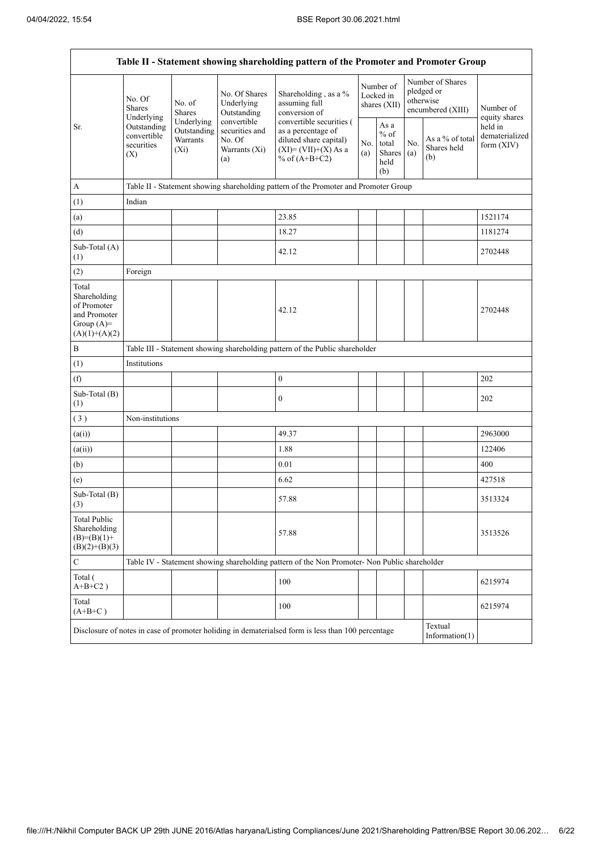÷

| Table II - Statement showing shareholding pattern of the Promoter and Promoter Group    |                                                                                                     |                         |                                                                 |                                                                                                                        |                                        |                                                         |            |                                                                  |                                           |  |  |  |
|-----------------------------------------------------------------------------------------|-----------------------------------------------------------------------------------------------------|-------------------------|-----------------------------------------------------------------|------------------------------------------------------------------------------------------------------------------------|----------------------------------------|---------------------------------------------------------|------------|------------------------------------------------------------------|-------------------------------------------|--|--|--|
|                                                                                         | No. Of<br><b>Shares</b><br>Underlying                                                               | No. of<br><b>Shares</b> | No. Of Shares<br>Underlying<br>Outstanding                      | Shareholding, as a %<br>assuming full<br>conversion of                                                                 | Number of<br>Locked in<br>shares (XII) |                                                         |            | Number of Shares<br>pledged or<br>otherwise<br>encumbered (XIII) | Number of<br>equity shares                |  |  |  |
| Sr.                                                                                     | Underlying<br>Outstanding<br>Outstanding<br>convertible<br>Warrants<br>securities<br>$(X_i)$<br>(X) |                         | convertible<br>securities and<br>No. Of<br>Warrants (Xi)<br>(a) | convertible securities (<br>as a percentage of<br>diluted share capital)<br>$(XI) = (VII)+(X) As a$<br>% of $(A+B+C2)$ | No.<br>(a)                             | As a<br>$%$ of<br>total<br><b>Shares</b><br>held<br>(b) | No.<br>(a) | As a % of total<br>Shares held<br>(b)                            | held in<br>dematerialized<br>form $(XIV)$ |  |  |  |
| $\mathbf A$                                                                             |                                                                                                     |                         |                                                                 | Table II - Statement showing shareholding pattern of the Promoter and Promoter Group                                   |                                        |                                                         |            |                                                                  |                                           |  |  |  |
| (1)                                                                                     | Indian                                                                                              |                         |                                                                 |                                                                                                                        |                                        |                                                         |            |                                                                  |                                           |  |  |  |
| (a)                                                                                     |                                                                                                     |                         |                                                                 | 23.85                                                                                                                  |                                        |                                                         |            |                                                                  | 1521174                                   |  |  |  |
| (d)                                                                                     |                                                                                                     |                         |                                                                 | 18.27                                                                                                                  |                                        |                                                         |            |                                                                  | 1181274                                   |  |  |  |
| Sub-Total (A)<br>(1)                                                                    |                                                                                                     |                         |                                                                 | 42.12                                                                                                                  |                                        |                                                         |            |                                                                  | 2702448                                   |  |  |  |
| (2)                                                                                     | Foreign                                                                                             |                         |                                                                 |                                                                                                                        |                                        |                                                         |            |                                                                  |                                           |  |  |  |
| Total<br>Shareholding<br>of Promoter<br>and Promoter<br>Group $(A)=$<br>$(A)(1)+(A)(2)$ |                                                                                                     |                         |                                                                 | 42.12                                                                                                                  |                                        |                                                         |            |                                                                  | 2702448                                   |  |  |  |
| $\, {\bf B}$                                                                            |                                                                                                     |                         |                                                                 | Table III - Statement showing shareholding pattern of the Public shareholder                                           |                                        |                                                         |            |                                                                  |                                           |  |  |  |
| (1)                                                                                     | Institutions                                                                                        |                         |                                                                 |                                                                                                                        |                                        |                                                         |            |                                                                  |                                           |  |  |  |
| (f)                                                                                     |                                                                                                     |                         |                                                                 | $\boldsymbol{0}$                                                                                                       |                                        |                                                         |            |                                                                  | 202                                       |  |  |  |
| Sub-Total (B)<br>(1)                                                                    |                                                                                                     |                         |                                                                 | $\boldsymbol{0}$                                                                                                       |                                        |                                                         |            |                                                                  | 202                                       |  |  |  |
| (3)                                                                                     | Non-institutions                                                                                    |                         |                                                                 |                                                                                                                        |                                        |                                                         |            |                                                                  |                                           |  |  |  |
| (a(i))                                                                                  |                                                                                                     |                         |                                                                 | 49.37                                                                                                                  |                                        |                                                         |            |                                                                  | 2963000                                   |  |  |  |
| (a(ii))                                                                                 |                                                                                                     |                         |                                                                 | 1.88                                                                                                                   |                                        |                                                         |            |                                                                  | 122406                                    |  |  |  |
| (b)                                                                                     |                                                                                                     |                         |                                                                 | 0.01                                                                                                                   |                                        |                                                         |            |                                                                  | 400                                       |  |  |  |
| (e)                                                                                     |                                                                                                     |                         |                                                                 | 6.62                                                                                                                   |                                        |                                                         |            |                                                                  | 427518                                    |  |  |  |
| Sub-Total (B)<br>(3)                                                                    |                                                                                                     |                         |                                                                 | 57.88                                                                                                                  |                                        |                                                         |            |                                                                  | 3513324                                   |  |  |  |
| Total Public<br>Shareholding<br>$(B)=(B)(1)+$<br>$(B)(2)+(B)(3)$                        |                                                                                                     |                         |                                                                 | 57.88                                                                                                                  |                                        |                                                         |            |                                                                  | 3513526                                   |  |  |  |
| $\mathbf C$                                                                             |                                                                                                     |                         |                                                                 | Table IV - Statement showing shareholding pattern of the Non Promoter- Non Public shareholder                          |                                        |                                                         |            |                                                                  |                                           |  |  |  |
| Total (<br>$A+B+C2$ )                                                                   |                                                                                                     |                         |                                                                 | 100                                                                                                                    |                                        |                                                         |            |                                                                  | 6215974                                   |  |  |  |
| Total<br>$(A+B+C)$                                                                      |                                                                                                     |                         |                                                                 | 100                                                                                                                    |                                        |                                                         |            |                                                                  | 6215974                                   |  |  |  |
|                                                                                         |                                                                                                     |                         |                                                                 | Disclosure of notes in case of promoter holiding in dematerialsed form is less than 100 percentage                     |                                        |                                                         |            | Textual<br>Information $(1)$                                     |                                           |  |  |  |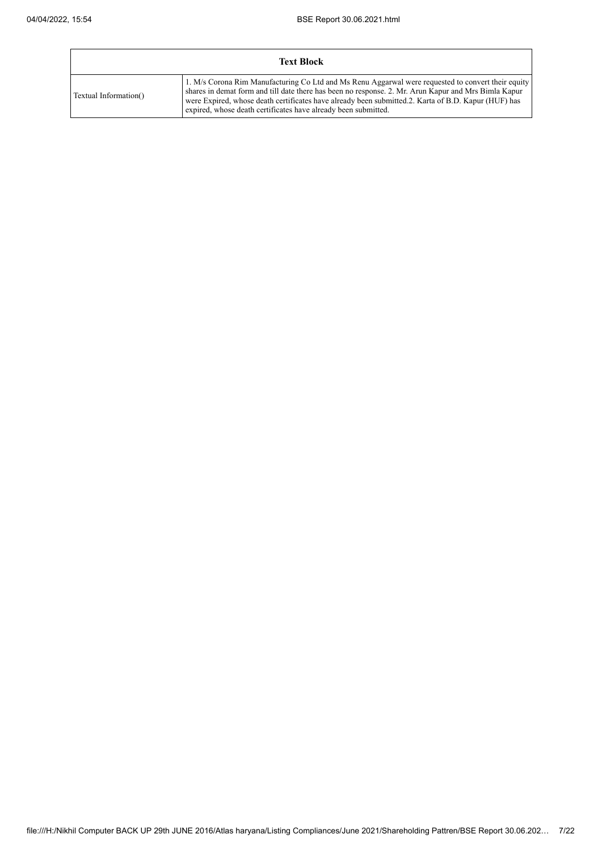÷

|                       | <b>Text Block</b>                                                                                                                                                                                                                                                                                                                                                                   |
|-----------------------|-------------------------------------------------------------------------------------------------------------------------------------------------------------------------------------------------------------------------------------------------------------------------------------------------------------------------------------------------------------------------------------|
| Textual Information() | 1. M/s Corona Rim Manufacturing Co Ltd and Ms Renu Aggarwal were requested to convert their equity<br>shares in demat form and till date there has been no response. 2. Mr. Arun Kapur and Mrs Bimla Kapur<br>were Expired, whose death certificates have already been submitted.2. Karta of B.D. Kapur (HUF) has<br>expired, whose death certificates have already been submitted. |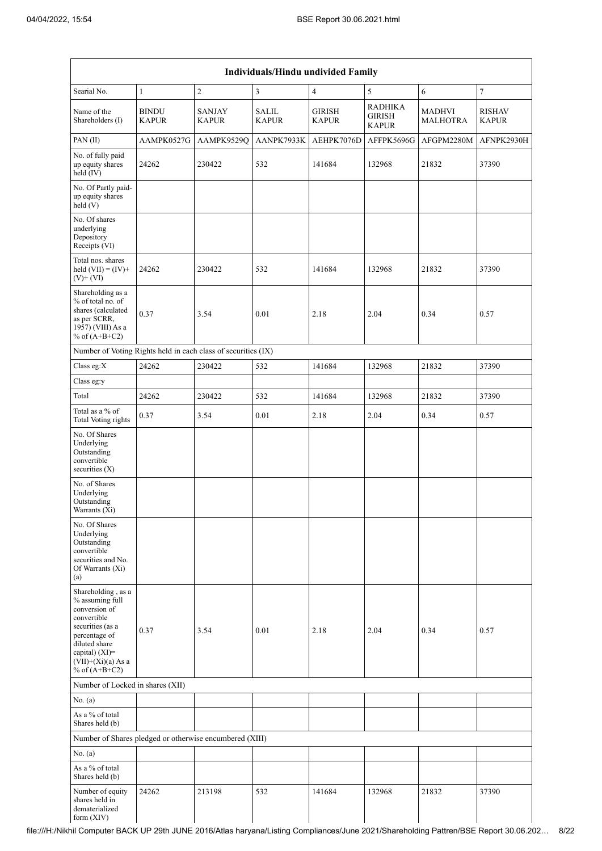| Individuals/Hindu undivided Family                                                                                                                                                       |                              |                               |                       |                               |                                                 |                           |                               |  |  |  |  |  |  |
|------------------------------------------------------------------------------------------------------------------------------------------------------------------------------------------|------------------------------|-------------------------------|-----------------------|-------------------------------|-------------------------------------------------|---------------------------|-------------------------------|--|--|--|--|--|--|
| Searial No.                                                                                                                                                                              | $\mathbf{1}$                 | $\mathbf{2}$                  | 3                     | $\overline{4}$                | 5                                               | 6                         | $\tau$                        |  |  |  |  |  |  |
| Name of the<br>Shareholders (I)                                                                                                                                                          | <b>BINDU</b><br><b>KAPUR</b> | <b>SANJAY</b><br><b>KAPUR</b> | SALIL<br><b>KAPUR</b> | <b>GIRISH</b><br><b>KAPUR</b> | <b>RADHIKA</b><br><b>GIRISH</b><br><b>KAPUR</b> | MADHVI<br><b>MALHOTRA</b> | <b>RISHAV</b><br><b>KAPUR</b> |  |  |  |  |  |  |
| PAN(II)                                                                                                                                                                                  | AAMPK0527G                   | AAMPK9529Q                    | AANPK7933K            | AEHPK7076D                    | AFFPK5696G                                      | AFGPM2280M                | AFNPK2930H                    |  |  |  |  |  |  |
| No. of fully paid<br>up equity shares<br>held (IV)                                                                                                                                       | 24262                        | 230422                        | 532                   | 141684                        | 132968                                          | 21832                     | 37390                         |  |  |  |  |  |  |
| No. Of Partly paid-<br>up equity shares<br>held(V)                                                                                                                                       |                              |                               |                       |                               |                                                 |                           |                               |  |  |  |  |  |  |
| No. Of shares<br>underlying<br>Depository<br>Receipts (VI)                                                                                                                               |                              |                               |                       |                               |                                                 |                           |                               |  |  |  |  |  |  |
| Total nos. shares<br>held $(VII) = (IV) +$<br>$(V)+(VI)$                                                                                                                                 | 24262                        | 230422                        | 532                   | 141684                        | 132968                                          | 21832                     | 37390                         |  |  |  |  |  |  |
| Shareholding as a<br>% of total no. of<br>shares (calculated<br>as per SCRR,<br>1957) (VIII) As a<br>% of $(A+B+C2)$                                                                     | 0.37                         | 3.54                          | 0.01                  | 2.18                          | 2.04                                            | 0.34                      | 0.57                          |  |  |  |  |  |  |
| Number of Voting Rights held in each class of securities (IX)                                                                                                                            |                              |                               |                       |                               |                                                 |                           |                               |  |  |  |  |  |  |
| Class eg:X                                                                                                                                                                               | 24262                        | 230422                        | 532                   | 141684                        | 132968                                          | 21832                     | 37390                         |  |  |  |  |  |  |
| Class eg:y                                                                                                                                                                               |                              |                               |                       |                               |                                                 |                           |                               |  |  |  |  |  |  |
| Total                                                                                                                                                                                    | 24262                        | 230422                        | 532                   | 141684                        | 132968                                          | 21832                     | 37390                         |  |  |  |  |  |  |
| Total as a % of<br>Total Voting rights                                                                                                                                                   | 0.37                         | 3.54                          | 0.01                  | 2.18                          | 2.04                                            | 0.34                      | 0.57                          |  |  |  |  |  |  |
| No. Of Shares<br>Underlying<br>Outstanding<br>convertible<br>securities (X)                                                                                                              |                              |                               |                       |                               |                                                 |                           |                               |  |  |  |  |  |  |
| No. of Shares<br>Underlying<br>Outstanding<br>Warrants (Xi)                                                                                                                              |                              |                               |                       |                               |                                                 |                           |                               |  |  |  |  |  |  |
| No. Of Shares<br>Underlying<br>Outstanding<br>convertible<br>securities and No.<br>Of Warrants (Xi)<br>(a)                                                                               |                              |                               |                       |                               |                                                 |                           |                               |  |  |  |  |  |  |
| Shareholding, as a<br>% assuming full<br>conversion of<br>convertible<br>securities (as a<br>percentage of<br>diluted share<br>capital) (XI)=<br>$(VII)+(Xi)(a)$ As a<br>% of $(A+B+C2)$ | 0.37                         | 3.54                          | 0.01                  | 2.18                          | 2.04                                            | 0.34                      | 0.57                          |  |  |  |  |  |  |
| Number of Locked in shares (XII)                                                                                                                                                         |                              |                               |                       |                               |                                                 |                           |                               |  |  |  |  |  |  |
| No. (a)                                                                                                                                                                                  |                              |                               |                       |                               |                                                 |                           |                               |  |  |  |  |  |  |
| As a % of total<br>Shares held (b)                                                                                                                                                       |                              |                               |                       |                               |                                                 |                           |                               |  |  |  |  |  |  |
| Number of Shares pledged or otherwise encumbered (XIII)                                                                                                                                  |                              |                               |                       |                               |                                                 |                           |                               |  |  |  |  |  |  |
| No. (a)                                                                                                                                                                                  |                              |                               |                       |                               |                                                 |                           |                               |  |  |  |  |  |  |
| As a % of total<br>Shares held (b)                                                                                                                                                       |                              |                               |                       |                               |                                                 |                           |                               |  |  |  |  |  |  |
| Number of equity<br>shares held in<br>dematerialized<br>form (XIV)                                                                                                                       | 24262                        | 213198                        | 532                   | 141684                        | 132968                                          | 21832                     | 37390                         |  |  |  |  |  |  |

file:///H:/Nikhil Computer BACK UP 29th JUNE 2016/Atlas haryana/Listing Compliances/June 2021/Shareholding Pattren/BSE Report 30.06.202… 8/22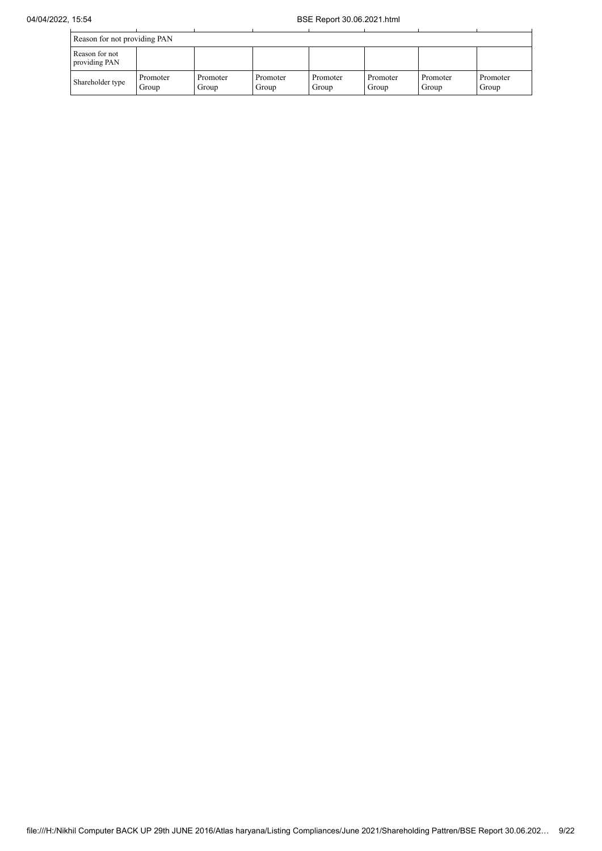| Reason for not providing PAN    |                   |                   |                   |                   |                   |                   |                   |  |  |  |
|---------------------------------|-------------------|-------------------|-------------------|-------------------|-------------------|-------------------|-------------------|--|--|--|
| Reason for not<br>providing PAN |                   |                   |                   |                   |                   |                   |                   |  |  |  |
| Shareholder type                | Promoter<br>Group | Promoter<br>Group | Promoter<br>Group | Promoter<br>Group | Promoter<br>Group | Promoter<br>Group | Promoter<br>Group |  |  |  |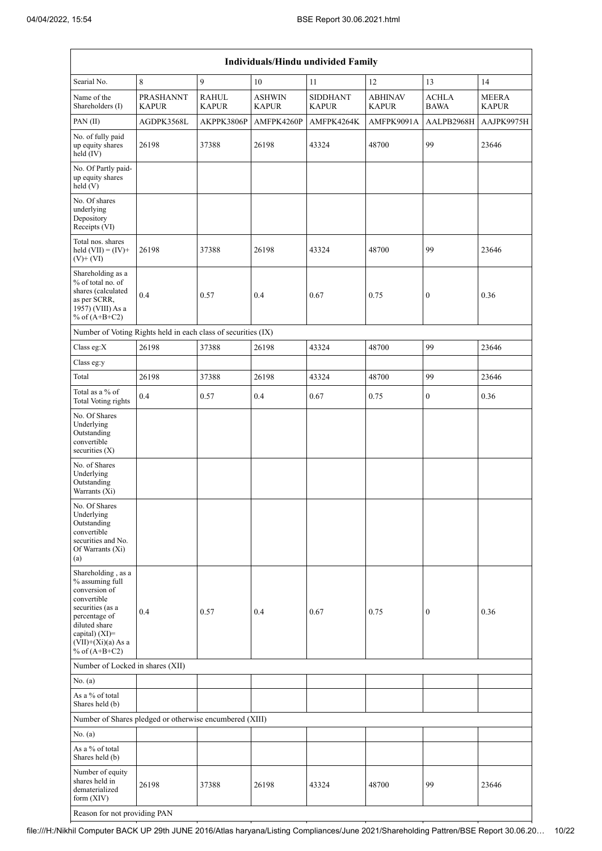| Individuals/Hindu undivided Family                                                                                                                                                       |                                  |                              |                               |                                 |                                |                             |                              |  |  |  |  |  |
|------------------------------------------------------------------------------------------------------------------------------------------------------------------------------------------|----------------------------------|------------------------------|-------------------------------|---------------------------------|--------------------------------|-----------------------------|------------------------------|--|--|--|--|--|
| Searial No.                                                                                                                                                                              | 8                                | 9                            | 10                            | 11                              | 12                             | 13                          | 14                           |  |  |  |  |  |
| Name of the<br>Shareholders (I)                                                                                                                                                          | <b>PRASHANNT</b><br><b>KAPUR</b> | <b>RAHUL</b><br><b>KAPUR</b> | <b>ASHWIN</b><br><b>KAPUR</b> | <b>SIDDHANT</b><br><b>KAPUR</b> | <b>ABHINAV</b><br><b>KAPUR</b> | <b>ACHLA</b><br><b>BAWA</b> | <b>MEERA</b><br><b>KAPUR</b> |  |  |  |  |  |
| PAN(II)                                                                                                                                                                                  | AGDPK3568L                       | AKPPK3806P                   | AMFPK4260P                    | AMFPK4264K                      | AMFPK9091A                     | AALPB2968H                  | AAJPK9975H                   |  |  |  |  |  |
| No. of fully paid<br>up equity shares<br>held (IV)                                                                                                                                       | 26198                            | 37388                        | 26198                         | 43324                           | 48700                          | 99                          | 23646                        |  |  |  |  |  |
| No. Of Partly paid-<br>up equity shares<br>held(V)                                                                                                                                       |                                  |                              |                               |                                 |                                |                             |                              |  |  |  |  |  |
| No. Of shares<br>underlying<br>Depository<br>Receipts (VI)                                                                                                                               |                                  |                              |                               |                                 |                                |                             |                              |  |  |  |  |  |
| Total nos. shares<br>held $(VII) = (IV) +$<br>$(V)$ + $(VI)$                                                                                                                             | 26198                            | 37388                        | 26198                         | 43324                           | 48700                          | 99                          | 23646                        |  |  |  |  |  |
| Shareholding as a<br>% of total no. of<br>shares (calculated<br>as per SCRR,<br>1957) (VIII) As a<br>% of $(A+B+C2)$                                                                     | 0.4                              | 0.57                         | 0.4                           | 0.67                            | 0.75                           | $\boldsymbol{0}$            | 0.36                         |  |  |  |  |  |
| Number of Voting Rights held in each class of securities (IX)                                                                                                                            |                                  |                              |                               |                                 |                                |                             |                              |  |  |  |  |  |
| Class eg:X                                                                                                                                                                               | 26198                            | 37388                        | 26198                         | 43324                           | 48700                          | 99                          | 23646                        |  |  |  |  |  |
| Class eg:y                                                                                                                                                                               |                                  |                              |                               |                                 |                                |                             |                              |  |  |  |  |  |
| Total                                                                                                                                                                                    | 26198                            | 37388                        | 26198                         | 43324                           | 48700                          | 99                          | 23646                        |  |  |  |  |  |
| Total as a % of<br><b>Total Voting rights</b>                                                                                                                                            | 0.4                              | 0.57                         | 0.4                           | 0.67                            | 0.75                           | $\boldsymbol{0}$            | 0.36                         |  |  |  |  |  |
| No. Of Shares<br>Underlying<br>Outstanding<br>convertible<br>securities $(X)$                                                                                                            |                                  |                              |                               |                                 |                                |                             |                              |  |  |  |  |  |
| No. of Shares<br>Underlying<br>Outstanding<br>Warrants (Xi)                                                                                                                              |                                  |                              |                               |                                 |                                |                             |                              |  |  |  |  |  |
| No. Of Shares<br>Underlying<br>Outstanding<br>convertible<br>securities and No.<br>Of Warrants (Xi)<br>(a)                                                                               |                                  |                              |                               |                                 |                                |                             |                              |  |  |  |  |  |
| Shareholding, as a<br>% assuming full<br>conversion of<br>convertible<br>securities (as a<br>percentage of<br>diluted share<br>capital) (XI)=<br>$(VII)+(Xi)(a)$ As a<br>% of $(A+B+C2)$ | 0.4                              | 0.57                         | 0.4                           | 0.67                            | 0.75                           | $\bf{0}$                    | 0.36                         |  |  |  |  |  |
| Number of Locked in shares (XII)                                                                                                                                                         |                                  |                              |                               |                                 |                                |                             |                              |  |  |  |  |  |
| No. (a)                                                                                                                                                                                  |                                  |                              |                               |                                 |                                |                             |                              |  |  |  |  |  |
| As a % of total<br>Shares held (b)                                                                                                                                                       |                                  |                              |                               |                                 |                                |                             |                              |  |  |  |  |  |
| Number of Shares pledged or otherwise encumbered (XIII)                                                                                                                                  |                                  |                              |                               |                                 |                                |                             |                              |  |  |  |  |  |
| No. (a)                                                                                                                                                                                  |                                  |                              |                               |                                 |                                |                             |                              |  |  |  |  |  |
| As a % of total<br>Shares held (b)                                                                                                                                                       |                                  |                              |                               |                                 |                                |                             |                              |  |  |  |  |  |
| Number of equity<br>shares held in<br>dematerialized<br>form $(XIV)$                                                                                                                     | 26198                            | 37388                        | 26198                         | 43324                           | 48700                          | 99                          | 23646                        |  |  |  |  |  |
| Reason for not providing PAN                                                                                                                                                             |                                  |                              |                               |                                 |                                |                             |                              |  |  |  |  |  |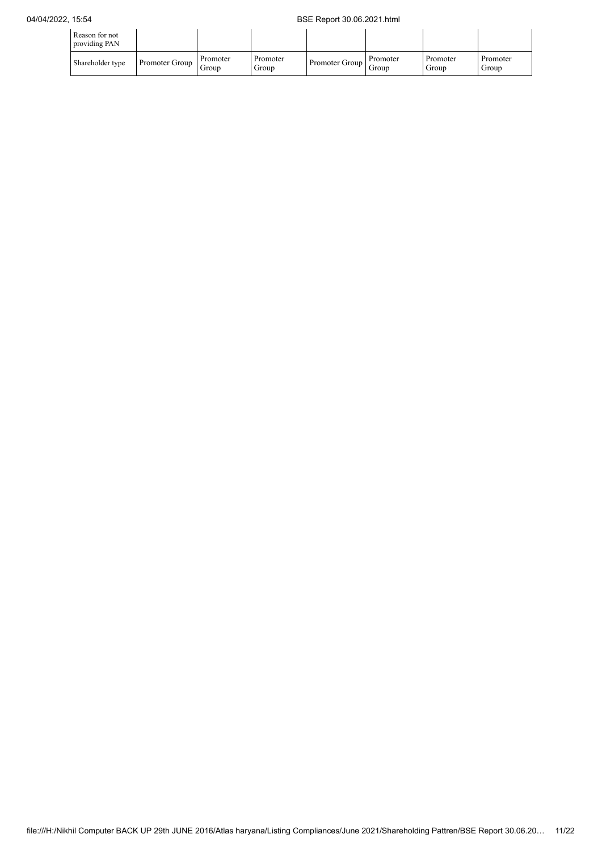| Reason for not<br>providing PAN |                |                   |                   |                |                   |                   |                   |
|---------------------------------|----------------|-------------------|-------------------|----------------|-------------------|-------------------|-------------------|
| Shareholder type                | Promoter Group | Promoter<br>Group | Promoter<br>Group | Promoter Group | Promoter<br>Group | Promoter<br>Group | Promoter<br>Group |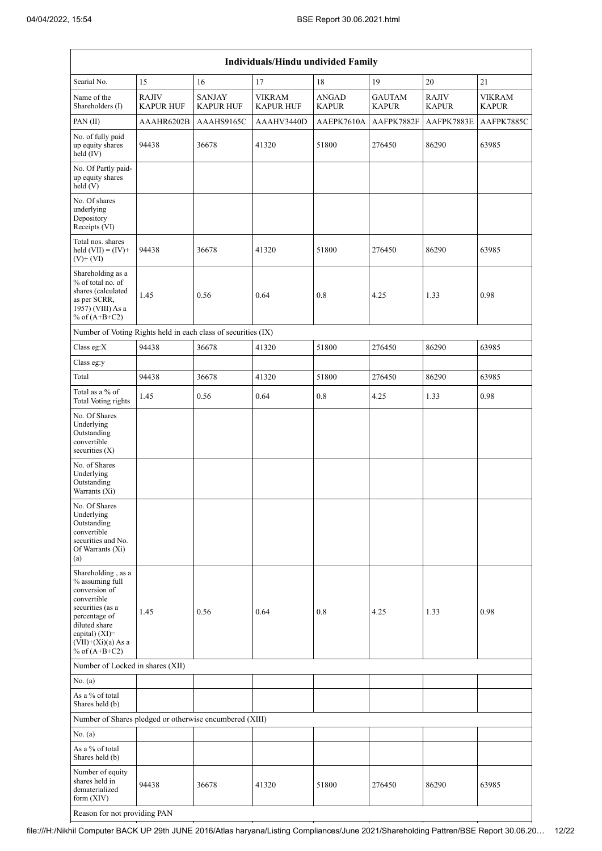| <b>Individuals/Hindu undivided Family</b>                                                                                                                                                |                                  |                                   |                                   |                              |                               |                              |                               |  |  |  |  |  |
|------------------------------------------------------------------------------------------------------------------------------------------------------------------------------------------|----------------------------------|-----------------------------------|-----------------------------------|------------------------------|-------------------------------|------------------------------|-------------------------------|--|--|--|--|--|
| Searial No.                                                                                                                                                                              | 15                               | 16                                | 17                                | 18                           | 19                            | 20                           | 21                            |  |  |  |  |  |
| Name of the<br>Shareholders (I)                                                                                                                                                          | <b>RAJIV</b><br><b>KAPUR HUF</b> | <b>SANJAY</b><br><b>KAPUR HUF</b> | <b>VIKRAM</b><br><b>KAPUR HUF</b> | <b>ANGAD</b><br><b>KAPUR</b> | <b>GAUTAM</b><br><b>KAPUR</b> | <b>RAJIV</b><br><b>KAPUR</b> | <b>VIKRAM</b><br><b>KAPUR</b> |  |  |  |  |  |
| PAN(II)                                                                                                                                                                                  | AAAHR6202B                       | AAAHS9165C                        | AAAHV3440D                        | AAEPK7610A                   | AAFPK7882F                    | AAFPK7883E                   | AAFPK7885C                    |  |  |  |  |  |
| No. of fully paid<br>up equity shares<br>held $(IV)$                                                                                                                                     | 94438                            | 36678                             | 41320                             | 51800                        | 276450                        | 86290                        | 63985                         |  |  |  |  |  |
| No. Of Partly paid-<br>up equity shares<br>held(V)                                                                                                                                       |                                  |                                   |                                   |                              |                               |                              |                               |  |  |  |  |  |
| No. Of shares<br>underlying<br>Depository<br>Receipts (VI)                                                                                                                               |                                  |                                   |                                   |                              |                               |                              |                               |  |  |  |  |  |
| Total nos. shares<br>held $(VII) = (IV) +$<br>$(V)$ + $(VI)$                                                                                                                             | 94438                            | 36678                             | 41320                             | 51800                        | 276450                        | 86290                        | 63985                         |  |  |  |  |  |
| Shareholding as a<br>% of total no. of<br>shares (calculated<br>as per SCRR,<br>1957) (VIII) As a<br>% of $(A+B+C2)$                                                                     | 1.45                             | 0.56                              | 0.64                              | 0.8                          | 4.25                          | 1.33                         | 0.98                          |  |  |  |  |  |
| Number of Voting Rights held in each class of securities (IX)                                                                                                                            |                                  |                                   |                                   |                              |                               |                              |                               |  |  |  |  |  |
| Class eg:X                                                                                                                                                                               | 94438                            | 36678                             | 41320                             | 51800                        | 276450                        | 86290                        | 63985                         |  |  |  |  |  |
| Class eg:y                                                                                                                                                                               |                                  |                                   |                                   |                              |                               |                              |                               |  |  |  |  |  |
| Total                                                                                                                                                                                    | 94438                            | 36678                             | 41320                             | 51800                        | 276450                        | 86290                        | 63985                         |  |  |  |  |  |
| Total as a % of<br><b>Total Voting rights</b>                                                                                                                                            | 1.45                             | 0.56                              | 0.64                              | 0.8                          | 4.25                          | 1.33                         | 0.98                          |  |  |  |  |  |
| No. Of Shares<br>Underlying<br>Outstanding<br>convertible<br>securities $(X)$                                                                                                            |                                  |                                   |                                   |                              |                               |                              |                               |  |  |  |  |  |
| No. of Shares<br>Underlying<br>Outstanding<br>Warrants (Xi)                                                                                                                              |                                  |                                   |                                   |                              |                               |                              |                               |  |  |  |  |  |
| No. Of Shares<br>Underlying<br>Outstanding<br>convertible<br>securities and No.<br>Of Warrants (Xi)<br>(a)                                                                               |                                  |                                   |                                   |                              |                               |                              |                               |  |  |  |  |  |
| Shareholding, as a<br>% assuming full<br>conversion of<br>convertible<br>securities (as a<br>percentage of<br>diluted share<br>capital) (XI)=<br>$(VII)+(Xi)(a)$ As a<br>% of $(A+B+C2)$ | 1.45                             | 0.56                              | 0.64                              | 0.8                          | 4.25                          | 1.33                         | 0.98                          |  |  |  |  |  |
| Number of Locked in shares (XII)                                                                                                                                                         |                                  |                                   |                                   |                              |                               |                              |                               |  |  |  |  |  |
| No. (a)                                                                                                                                                                                  |                                  |                                   |                                   |                              |                               |                              |                               |  |  |  |  |  |
| As a % of total<br>Shares held (b)                                                                                                                                                       |                                  |                                   |                                   |                              |                               |                              |                               |  |  |  |  |  |
| Number of Shares pledged or otherwise encumbered (XIII)                                                                                                                                  |                                  |                                   |                                   |                              |                               |                              |                               |  |  |  |  |  |
| No. (a)                                                                                                                                                                                  |                                  |                                   |                                   |                              |                               |                              |                               |  |  |  |  |  |
| As a % of total<br>Shares held (b)                                                                                                                                                       |                                  |                                   |                                   |                              |                               |                              |                               |  |  |  |  |  |
| Number of equity<br>shares held in<br>dematerialized<br>form $(XIV)$                                                                                                                     | 94438                            | 36678                             | 41320                             | 51800                        | 276450                        | 86290                        | 63985                         |  |  |  |  |  |
| Reason for not providing PAN                                                                                                                                                             |                                  |                                   |                                   |                              |                               |                              |                               |  |  |  |  |  |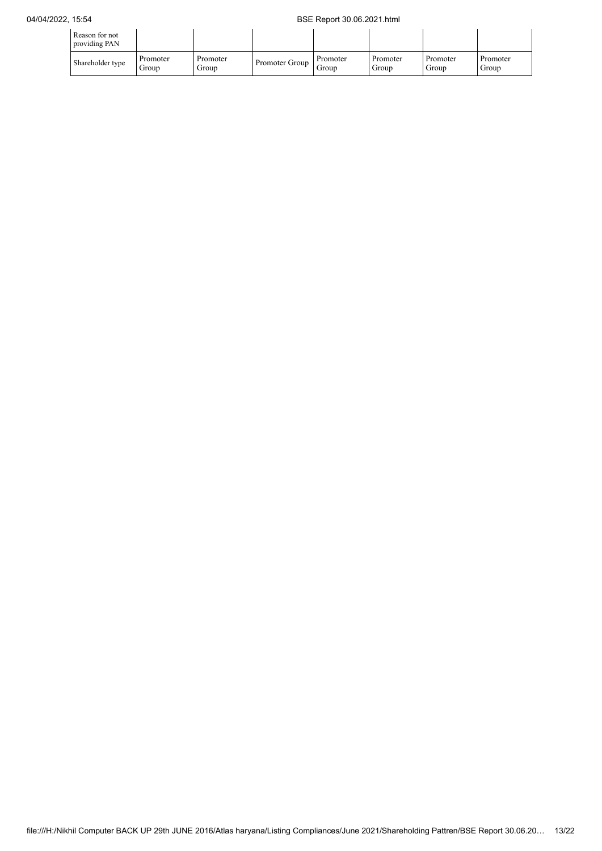## 04/04/2022, 15:54 BSE Report 30.06.2021.html

| Reason for not<br>providing PAN |                   |                   |                |                   |                   |                   |                   |
|---------------------------------|-------------------|-------------------|----------------|-------------------|-------------------|-------------------|-------------------|
| Shareholder type                | Promoter<br>Group | Promoter<br>Group | Promoter Group | Promoter<br>Group | Promoter<br>Group | Promoter<br>Group | Promoter<br>Group |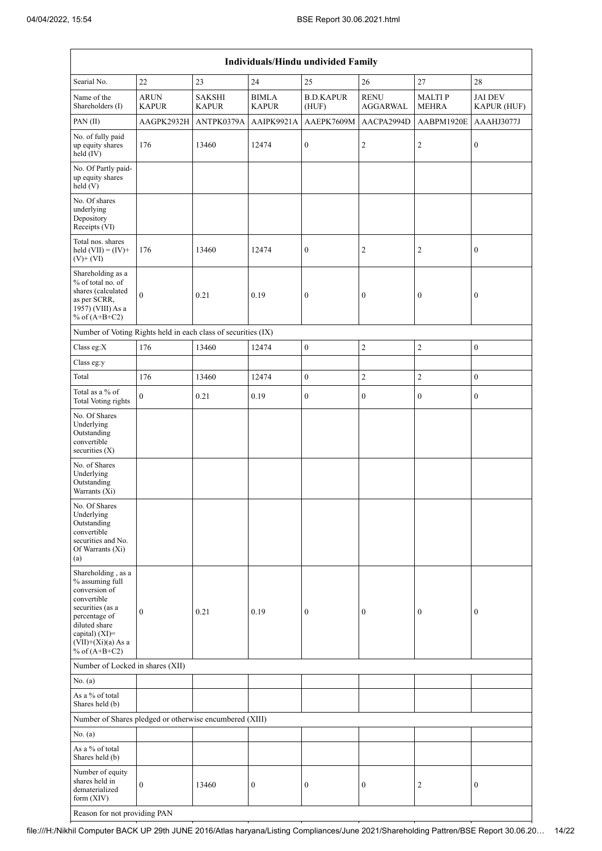|                                                                                                                                               | Individuals/Hindu undivided Family                            |                               |                              |                           |                                |                               |                               |  |  |
|-----------------------------------------------------------------------------------------------------------------------------------------------|---------------------------------------------------------------|-------------------------------|------------------------------|---------------------------|--------------------------------|-------------------------------|-------------------------------|--|--|
| Searial No.                                                                                                                                   | 22                                                            | 23                            | 24                           | 25                        | 26                             | $27\,$                        | 28                            |  |  |
| Name of the<br>Shareholders (I)                                                                                                               | <b>ARUN</b><br><b>KAPUR</b>                                   | <b>SAKSHI</b><br><b>KAPUR</b> | <b>BIMLA</b><br><b>KAPUR</b> | <b>B.D.KAPUR</b><br>(HUF) | <b>RENU</b><br><b>AGGARWAL</b> | <b>MALTIP</b><br><b>MEHRA</b> | <b>JAI DEV</b><br>KAPUR (HUF) |  |  |
| PAN(II)                                                                                                                                       | AAGPK2932H                                                    | ANTPK0379A                    | AAIPK9921A                   | AAEPK7609M                | AACPA2994D                     | AABPM1920E                    | AAAHJ3077J                    |  |  |
| No. of fully paid<br>up equity shares<br>held $(IV)$                                                                                          | 176                                                           | 13460                         | 12474                        | $\boldsymbol{0}$          | $\overline{c}$                 | $\overline{c}$                | $\boldsymbol{0}$              |  |  |
| No. Of Partly paid-<br>up equity shares<br>held(V)                                                                                            |                                                               |                               |                              |                           |                                |                               |                               |  |  |
| No. Of shares<br>underlying<br>Depository<br>Receipts (VI)                                                                                    |                                                               |                               |                              |                           |                                |                               |                               |  |  |
| Total nos. shares<br>held $(VII) = (IV) +$<br>$(V)$ + $(VI)$                                                                                  | 176                                                           | 13460                         | 12474                        | $\boldsymbol{0}$          | 2                              | $\overline{c}$                | $\boldsymbol{0}$              |  |  |
| Shareholding as a<br>% of total no. of<br>shares (calculated<br>as per SCRR,<br>1957) (VIII) As a<br>% of $(A+B+C2)$                          | $\theta$                                                      | 0.21                          | 0.19                         | $\boldsymbol{0}$          | $\boldsymbol{0}$               | $\boldsymbol{0}$              | $\boldsymbol{0}$              |  |  |
|                                                                                                                                               | Number of Voting Rights held in each class of securities (IX) |                               |                              |                           |                                |                               |                               |  |  |
| Class eg:X                                                                                                                                    | 176                                                           | 13460                         | 12474                        | $\boldsymbol{0}$          | $\overline{c}$                 | $\sqrt{2}$                    | $\boldsymbol{0}$              |  |  |
| Class eg:y                                                                                                                                    |                                                               |                               |                              |                           |                                |                               |                               |  |  |
| Total                                                                                                                                         | 176                                                           | 13460                         | 12474                        | $\boldsymbol{0}$          | $\mathfrak{2}$                 | $\sqrt{2}$                    | $\boldsymbol{0}$              |  |  |
| Total as a % of<br><b>Total Voting rights</b>                                                                                                 | $\theta$                                                      | 0.21                          | 0.19                         | $\boldsymbol{0}$          | $\boldsymbol{0}$               | $\mathbf{0}$                  | $\boldsymbol{0}$              |  |  |
| No. Of Shares<br>Underlying<br>Outstanding<br>convertible<br>securities (X)                                                                   |                                                               |                               |                              |                           |                                |                               |                               |  |  |
| No. of Shares<br>Underlying<br>Outstanding<br>Warrants (Xi)                                                                                   |                                                               |                               |                              |                           |                                |                               |                               |  |  |
| No. Of Shares<br>Underlying<br>Outstanding<br>convertible<br>securities and No.<br>Of Warrants (Xi)<br>(a)                                    |                                                               |                               |                              |                           |                                |                               |                               |  |  |
| Shareholding, as a<br>% assuming full<br>conversion of<br>convertible<br>securities (as a<br>percentage of<br>diluted share<br>capital) (XI)= | $\mathbf{0}$                                                  | 0.21                          | 0.19                         | $\boldsymbol{0}$          | 0                              | $\boldsymbol{0}$              | $\boldsymbol{0}$              |  |  |
| $(VII)+(Xi)(a)$ As a<br>% of $(A+B+C2)$                                                                                                       |                                                               |                               |                              |                           |                                |                               |                               |  |  |
| Number of Locked in shares (XII)                                                                                                              |                                                               |                               |                              |                           |                                |                               |                               |  |  |
| No. (a)<br>As a % of total<br>Shares held (b)                                                                                                 |                                                               |                               |                              |                           |                                |                               |                               |  |  |
| Number of Shares pledged or otherwise encumbered (XIII)                                                                                       |                                                               |                               |                              |                           |                                |                               |                               |  |  |
| No. (a)                                                                                                                                       |                                                               |                               |                              |                           |                                |                               |                               |  |  |
| As a % of total<br>Shares held (b)                                                                                                            |                                                               |                               |                              |                           |                                |                               |                               |  |  |
| Number of equity<br>shares held in<br>dematerialized<br>form (XIV)                                                                            | $\mathbf{0}$                                                  | 13460                         | $\boldsymbol{0}$             | $\boldsymbol{0}$          | $\boldsymbol{0}$               | 2                             | $\boldsymbol{0}$              |  |  |
|                                                                                                                                               | Reason for not providing PAN                                  |                               |                              |                           |                                |                               |                               |  |  |

file:///H:/Nikhil Computer BACK UP 29th JUNE 2016/Atlas haryana/Listing Compliances/June 2021/Shareholding Pattren/BSE Report 30.06.20… 14/22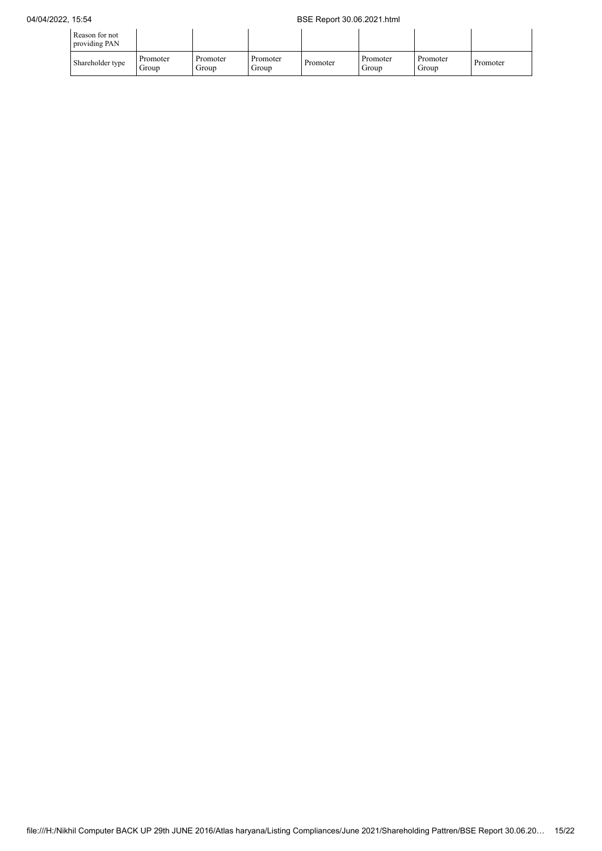| Reason for not<br>providing PAN |                   |                   |                   |          |                   |                   |          |
|---------------------------------|-------------------|-------------------|-------------------|----------|-------------------|-------------------|----------|
| Shareholder type                | Promoter<br>Group | Promoter<br>Group | Promoter<br>Group | Promoter | Promoter<br>Group | Promoter<br>Group | Promoter |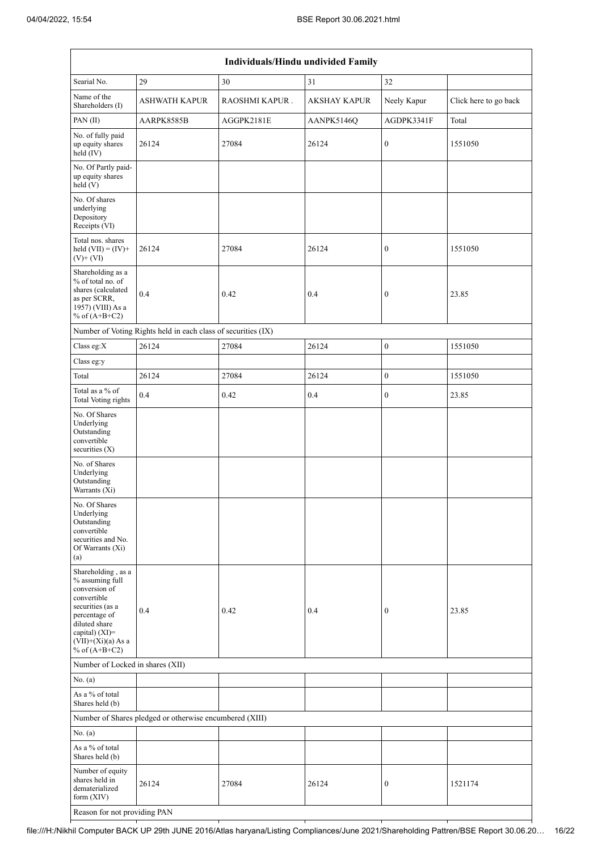|                                                                                                                                                                                          | Individuals/Hindu undivided Family                            |                |              |                  |                       |  |  |  |
|------------------------------------------------------------------------------------------------------------------------------------------------------------------------------------------|---------------------------------------------------------------|----------------|--------------|------------------|-----------------------|--|--|--|
| Searial No.                                                                                                                                                                              | 29                                                            | 30             | 31           | 32               |                       |  |  |  |
| Name of the<br>Shareholders (I)                                                                                                                                                          | <b>ASHWATH KAPUR</b>                                          | RAOSHMI KAPUR. | AKSHAY KAPUR | Neely Kapur      | Click here to go back |  |  |  |
| PAN(II)                                                                                                                                                                                  | AARPK8585B                                                    | AGGPK2181E     | AANPK5146Q   | AGDPK3341F       | Total                 |  |  |  |
| No. of fully paid<br>up equity shares<br>held (IV)                                                                                                                                       | 26124                                                         | 27084          | 26124        | $\boldsymbol{0}$ | 1551050               |  |  |  |
| No. Of Partly paid-<br>up equity shares<br>held(V)                                                                                                                                       |                                                               |                |              |                  |                       |  |  |  |
| No. Of shares<br>underlying<br>Depository<br>Receipts (VI)                                                                                                                               |                                                               |                |              |                  |                       |  |  |  |
| Total nos. shares<br>held $(VII) = (IV) +$<br>$(V)$ + $(VI)$                                                                                                                             | 26124                                                         | 27084          | 26124        | $\boldsymbol{0}$ | 1551050               |  |  |  |
| Shareholding as a<br>% of total no. of<br>shares (calculated<br>as per SCRR,<br>1957) (VIII) As a<br>% of $(A+B+C2)$                                                                     | 0.4                                                           | 0.42           | 0.4          | $\boldsymbol{0}$ | 23.85                 |  |  |  |
|                                                                                                                                                                                          | Number of Voting Rights held in each class of securities (IX) |                |              |                  |                       |  |  |  |
| Class eg:X                                                                                                                                                                               | 26124                                                         | 27084          | 26124        | $\boldsymbol{0}$ | 1551050               |  |  |  |
| Class eg:y                                                                                                                                                                               |                                                               |                |              |                  |                       |  |  |  |
| Total                                                                                                                                                                                    | 26124                                                         | 27084          | 26124        | $\overline{0}$   | 1551050               |  |  |  |
| Total as a % of<br>Total Voting rights                                                                                                                                                   | 0.4                                                           | 0.42           | 0.4          | $\boldsymbol{0}$ | 23.85                 |  |  |  |
| No. Of Shares<br>Underlying<br>Outstanding<br>convertible<br>securities (X)                                                                                                              |                                                               |                |              |                  |                       |  |  |  |
| No. of Shares<br>Underlying<br>Outstanding<br>Warrants (Xi)                                                                                                                              |                                                               |                |              |                  |                       |  |  |  |
| No. Of Shares<br>Underlying<br>Outstanding<br>convertible<br>securities and No.<br>Of Warrants (Xi)<br>(a)                                                                               |                                                               |                |              |                  |                       |  |  |  |
| Shareholding, as a<br>% assuming full<br>conversion of<br>convertible<br>securities (as a<br>percentage of<br>diluted share<br>capital) (XI)=<br>$(VII)+(Xi)(a)$ As a<br>% of $(A+B+C2)$ | 0.4                                                           | 0.42           | 0.4          | $\boldsymbol{0}$ | 23.85                 |  |  |  |
| Number of Locked in shares (XII)                                                                                                                                                         |                                                               |                |              |                  |                       |  |  |  |
| No. (a)                                                                                                                                                                                  |                                                               |                |              |                  |                       |  |  |  |
| As a % of total<br>Shares held (b)                                                                                                                                                       |                                                               |                |              |                  |                       |  |  |  |
|                                                                                                                                                                                          | Number of Shares pledged or otherwise encumbered (XIII)       |                |              |                  |                       |  |  |  |
| No. (a)                                                                                                                                                                                  |                                                               |                |              |                  |                       |  |  |  |
| As a % of total<br>Shares held (b)                                                                                                                                                       |                                                               |                |              |                  |                       |  |  |  |
| Number of equity<br>shares held in<br>dematerialized<br>form (XIV)                                                                                                                       | 26124                                                         | 27084          | 26124        | 0                | 1521174               |  |  |  |
| Reason for not providing PAN                                                                                                                                                             |                                                               |                |              |                  |                       |  |  |  |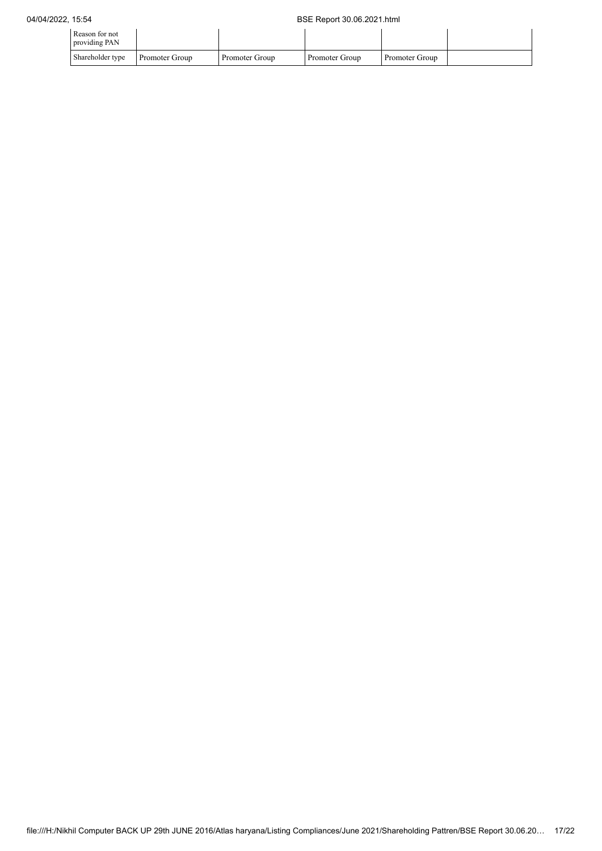| Reason for not<br>providing PAN |                |                |                |                |  |
|---------------------------------|----------------|----------------|----------------|----------------|--|
| Shareholder type                | Promoter Group | Promoter Group | Promoter Group | Promoter Group |  |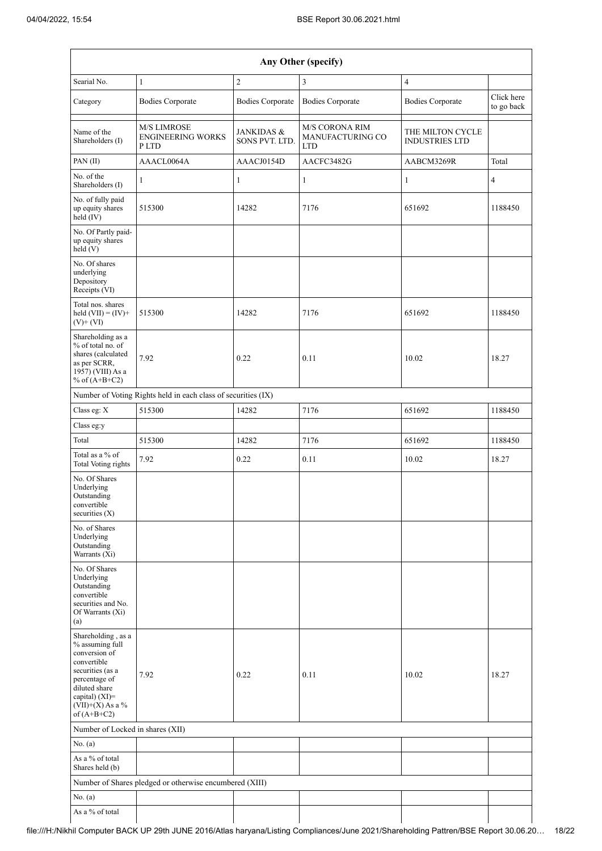|                                                                                                                                                                                      | Any Other (specify)                                           |                                         |                                                         |                                           |                          |  |  |  |  |
|--------------------------------------------------------------------------------------------------------------------------------------------------------------------------------------|---------------------------------------------------------------|-----------------------------------------|---------------------------------------------------------|-------------------------------------------|--------------------------|--|--|--|--|
| Searial No.                                                                                                                                                                          | $\mathbf{1}$                                                  | $\overline{2}$                          | 3                                                       | $\overline{4}$                            |                          |  |  |  |  |
| Category                                                                                                                                                                             | <b>Bodies Corporate</b>                                       | <b>Bodies Corporate</b>                 | <b>Bodies Corporate</b>                                 | <b>Bodies Corporate</b>                   | Click here<br>to go back |  |  |  |  |
| Name of the<br>Shareholders (I)                                                                                                                                                      | <b>M/S LIMROSE</b><br><b>ENGINEERING WORKS</b><br>P LTD       | <b>JANKIDAS &amp;</b><br>SONS PVT. LTD. | <b>M/S CORONA RIM</b><br>MANUFACTURING CO<br><b>LTD</b> | THE MILTON CYCLE<br><b>INDUSTRIES LTD</b> |                          |  |  |  |  |
| PAN(II)                                                                                                                                                                              | AAACL0064A                                                    | AAACJ0154D                              | AACFC3482G                                              | AABCM3269R                                | Total                    |  |  |  |  |
| No. of the<br>Shareholders (I)                                                                                                                                                       | $\mathbf{1}$                                                  | 1                                       | 1                                                       | 1                                         | $\overline{4}$           |  |  |  |  |
| No. of fully paid<br>up equity shares<br>held (IV)                                                                                                                                   | 515300                                                        | 14282                                   | 7176                                                    | 651692                                    | 1188450                  |  |  |  |  |
| No. Of Partly paid-<br>up equity shares<br>held(V)                                                                                                                                   |                                                               |                                         |                                                         |                                           |                          |  |  |  |  |
| No. Of shares<br>underlying<br>Depository<br>Receipts (VI)                                                                                                                           |                                                               |                                         |                                                         |                                           |                          |  |  |  |  |
| Total nos. shares<br>held $(VII) = (IV) +$<br>$(V)$ + $(VI)$                                                                                                                         | 515300                                                        | 14282                                   | 7176                                                    | 651692                                    | 1188450                  |  |  |  |  |
| Shareholding as a<br>% of total no. of<br>shares (calculated<br>as per SCRR,<br>1957) (VIII) As a<br>% of $(A+B+C2)$                                                                 | 7.92                                                          | 0.22                                    | 0.11                                                    | 10.02                                     | 18.27                    |  |  |  |  |
|                                                                                                                                                                                      | Number of Voting Rights held in each class of securities (IX) |                                         |                                                         |                                           |                          |  |  |  |  |
| Class eg: X                                                                                                                                                                          | 515300                                                        | 14282                                   | 7176                                                    | 651692                                    | 1188450                  |  |  |  |  |
| Class eg:y                                                                                                                                                                           |                                                               |                                         |                                                         |                                           |                          |  |  |  |  |
| Total                                                                                                                                                                                | 515300                                                        | 14282                                   | 7176                                                    | 651692                                    | 1188450                  |  |  |  |  |
| Total as a % of<br><b>Total Voting rights</b>                                                                                                                                        | 7.92                                                          | 0.22                                    | 0.11                                                    | 10.02                                     | 18.27                    |  |  |  |  |
| No. Of Shares<br>Underlying<br>Outstanding<br>convertible<br>securities (X)                                                                                                          |                                                               |                                         |                                                         |                                           |                          |  |  |  |  |
| No. of Shares<br>Underlying<br>Outstanding<br>Warrants (Xi)                                                                                                                          |                                                               |                                         |                                                         |                                           |                          |  |  |  |  |
| No. Of Shares<br>Underlying<br>Outstanding<br>convertible<br>securities and No.<br>Of Warrants (Xi)<br>(a)                                                                           |                                                               |                                         |                                                         |                                           |                          |  |  |  |  |
| Shareholding, as a<br>% assuming full<br>conversion of<br>convertible<br>securities (as a<br>percentage of<br>diluted share<br>capital) (XI)=<br>$(VII)+(X)$ As a %<br>of $(A+B+C2)$ | 7.92                                                          | 0.22                                    | 0.11                                                    | 10.02                                     | 18.27                    |  |  |  |  |
| Number of Locked in shares (XII)                                                                                                                                                     |                                                               |                                         |                                                         |                                           |                          |  |  |  |  |
| No. (a)                                                                                                                                                                              |                                                               |                                         |                                                         |                                           |                          |  |  |  |  |
| As a % of total<br>Shares held (b)                                                                                                                                                   |                                                               |                                         |                                                         |                                           |                          |  |  |  |  |
|                                                                                                                                                                                      | Number of Shares pledged or otherwise encumbered (XIII)       |                                         |                                                         |                                           |                          |  |  |  |  |
| No. (a)                                                                                                                                                                              |                                                               |                                         |                                                         |                                           |                          |  |  |  |  |
| As a % of total                                                                                                                                                                      |                                                               |                                         |                                                         |                                           |                          |  |  |  |  |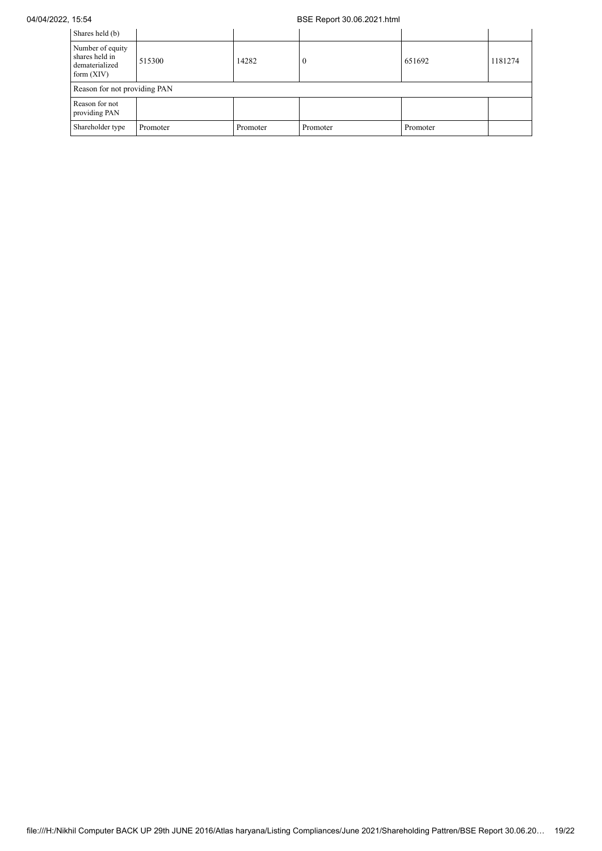| Shares held (b)                                                      |                              |          |                  |          |         |  |  |  |
|----------------------------------------------------------------------|------------------------------|----------|------------------|----------|---------|--|--|--|
| Number of equity<br>shares held in<br>dematerialized<br>form $(XIV)$ | 515300                       | 14282    | $\boldsymbol{0}$ | 651692   | 1181274 |  |  |  |
|                                                                      | Reason for not providing PAN |          |                  |          |         |  |  |  |
| Reason for not<br>providing PAN                                      |                              |          |                  |          |         |  |  |  |
| Shareholder type                                                     | Promoter                     | Promoter | Promoter         | Promoter |         |  |  |  |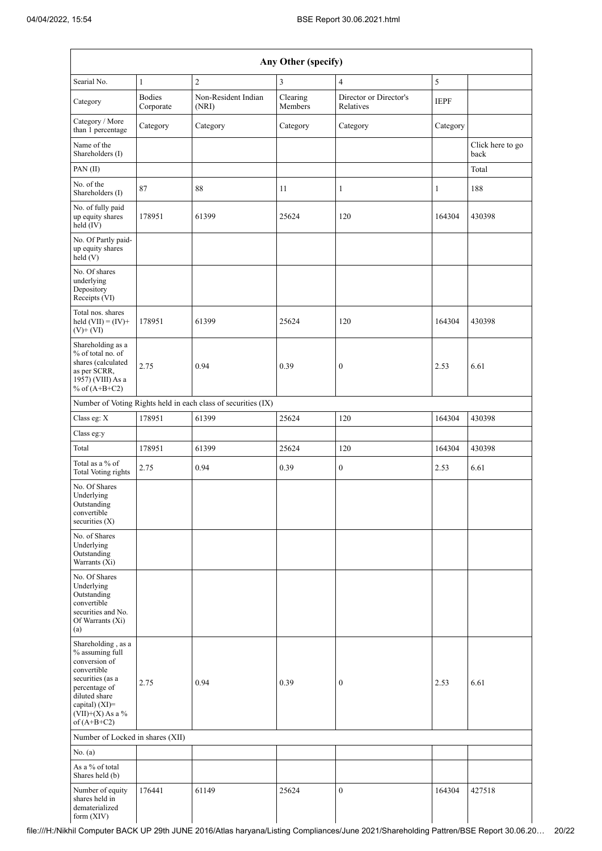|                                                                                                                                                                                      |                            |                                                               | Any Other (specify) |                                     |              |                          |
|--------------------------------------------------------------------------------------------------------------------------------------------------------------------------------------|----------------------------|---------------------------------------------------------------|---------------------|-------------------------------------|--------------|--------------------------|
| Searial No.                                                                                                                                                                          | $\mathbf{1}$               | $\sqrt{2}$                                                    | 3                   | $\overline{4}$                      | 5            |                          |
| Category                                                                                                                                                                             | <b>Bodies</b><br>Corporate | Non-Resident Indian<br>(NRI)                                  | Clearing<br>Members | Director or Director's<br>Relatives | <b>IEPF</b>  |                          |
| Category / More<br>than 1 percentage                                                                                                                                                 | Category                   | Category                                                      | Category            | Category                            | Category     |                          |
| Name of the<br>Shareholders (I)                                                                                                                                                      |                            |                                                               |                     |                                     |              | Click here to go<br>back |
| PAN(II)                                                                                                                                                                              |                            |                                                               |                     |                                     |              | Total                    |
| No. of the<br>Shareholders (I)                                                                                                                                                       | 87                         | 88                                                            | 11                  | $\mathbf{1}$                        | $\mathbf{1}$ | 188                      |
| No. of fully paid<br>up equity shares<br>$\text{held}(\text{IV})$                                                                                                                    | 178951                     | 61399                                                         | 25624               | 120                                 | 164304       | 430398                   |
| No. Of Partly paid-<br>up equity shares<br>held (V)                                                                                                                                  |                            |                                                               |                     |                                     |              |                          |
| No. Of shares<br>underlying<br>Depository<br>Receipts (VI)                                                                                                                           |                            |                                                               |                     |                                     |              |                          |
| Total nos. shares<br>held $(VII) = (IV) +$<br>$(V)+(VI)$                                                                                                                             | 178951                     | 61399                                                         | 25624               | 120                                 | 164304       | 430398                   |
| Shareholding as a<br>% of total no. of<br>shares (calculated<br>as per SCRR,<br>1957) (VIII) As a<br>% of $(A+B+C2)$                                                                 | 2.75                       | 0.94                                                          | 0.39                | $\boldsymbol{0}$                    | 2.53         | 6.61                     |
|                                                                                                                                                                                      |                            | Number of Voting Rights held in each class of securities (IX) |                     |                                     |              |                          |
| Class eg: X                                                                                                                                                                          | 178951                     | 61399                                                         | 25624               | 120                                 | 164304       | 430398                   |
| Class eg:y                                                                                                                                                                           |                            |                                                               |                     |                                     |              |                          |
| Total                                                                                                                                                                                | 178951                     | 61399                                                         | 25624               | 120                                 | 164304       | 430398                   |
| Total as a % of<br>Total Voting rights                                                                                                                                               | 2.75                       | 0.94                                                          | 0.39                | $\mathbf{0}$                        | 2.53         | 6.61                     |
| No. Of Shares<br>Underlying<br>Outstanding<br>convertible<br>securities $(X)$                                                                                                        |                            |                                                               |                     |                                     |              |                          |
| No. of Shares<br>Underlying<br>Outstanding<br>Warrants (Xi)                                                                                                                          |                            |                                                               |                     |                                     |              |                          |
| No. Of Shares<br>Underlying<br>Outstanding<br>convertible<br>securities and No.<br>Of Warrants (Xi)<br>(a)                                                                           |                            |                                                               |                     |                                     |              |                          |
| Shareholding, as a<br>% assuming full<br>conversion of<br>convertible<br>securities (as a<br>percentage of<br>diluted share<br>capital) (XI)=<br>$(VII)+(X)$ As a %<br>of $(A+B+C2)$ | 2.75                       | 0.94                                                          | 0.39                | $\boldsymbol{0}$                    | 2.53         | 6.61                     |
| Number of Locked in shares (XII)                                                                                                                                                     |                            |                                                               |                     |                                     |              |                          |
| No. (a)                                                                                                                                                                              |                            |                                                               |                     |                                     |              |                          |
| As a % of total<br>Shares held (b)                                                                                                                                                   |                            |                                                               |                     |                                     |              |                          |
| Number of equity<br>shares held in<br>dematerialized<br>form $(XIV)$                                                                                                                 | 176441                     | 61149                                                         | 25624               | $\boldsymbol{0}$                    | 164304       | 427518                   |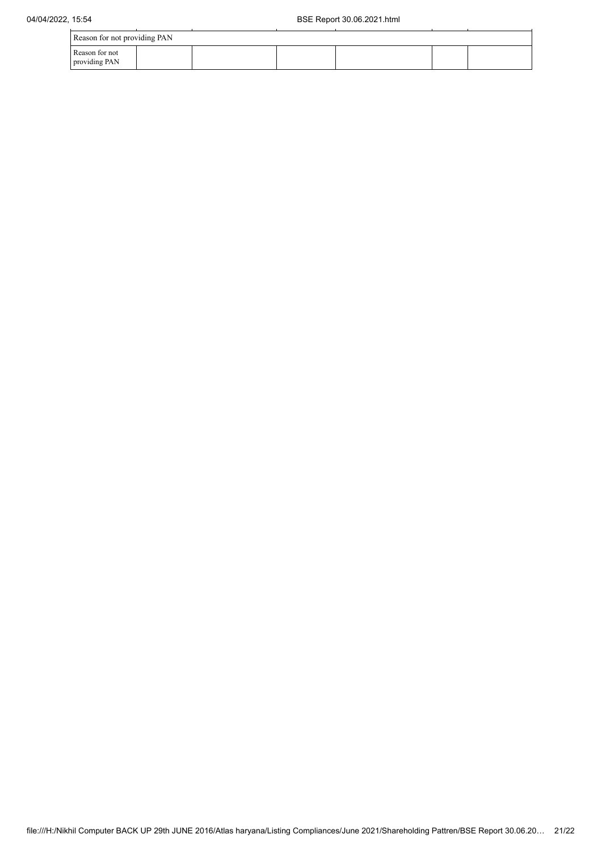|                                 | Reason for not providing PAN |  |  |  |  |  |  |
|---------------------------------|------------------------------|--|--|--|--|--|--|
| Reason for not<br>providing PAN |                              |  |  |  |  |  |  |